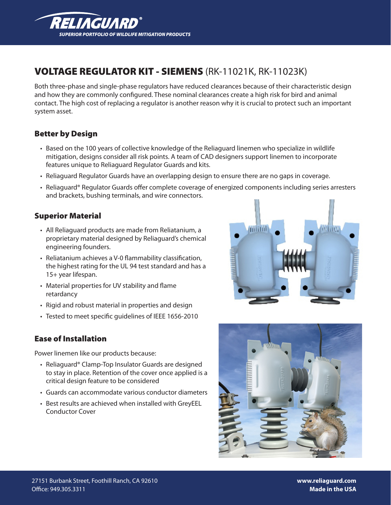

# VOLTAGE REGULATOR KIT - SIEMENS (RK-11021K, RK-11023K)

Both three-phase and single-phase regulators have reduced clearances because of their characteristic design and how they are commonly configured. These nominal clearances create a high risk for bird and animal contact. The high cost of replacing a regulator is another reason why it is crucial to protect such an important system asset.

## Better by Design

- • Based on the 100 years of collective knowledge of the Reliaguard linemen who specialize in wildlife mitigation, designs consider all risk points. A team of CAD designers support linemen to incorporate features unique to Reliaguard Regulator Guards and kits.
- • Reliaguard Regulator Guards have an overlapping design to ensure there are no gaps in coverage.
- • Reliaguard® Regulator Guards offer complete coverage of energized components including series arresters and brackets, bushing terminals, and wire connectors.

#### Superior Material

- All Reliaguard products are made from Reliatanium, a proprietary material designed by Reliaguard's chemical engineering founders.
- Reliatanium achieves a V-0 flammability classification, the highest rating for the UL 94 test standard and has a 15+ year lifespan.
- Material properties for UV stability and flame retardancy
- Rigid and robust material in properties and design
- Tested to meet specific quidelines of IEEE 1656-2010

#### Ease of Installation

Power linemen like our products because:

- Reliaguard® Clamp-Top Insulator Guards are designed to stay in place. Retention of the cover once applied is a critical design feature to be considered
- Guards can accommodate various conductor diameters
- • Best results are achieved when installed with GreyEEL Conductor Cover





**www.reliaguard.com Made in the USA**